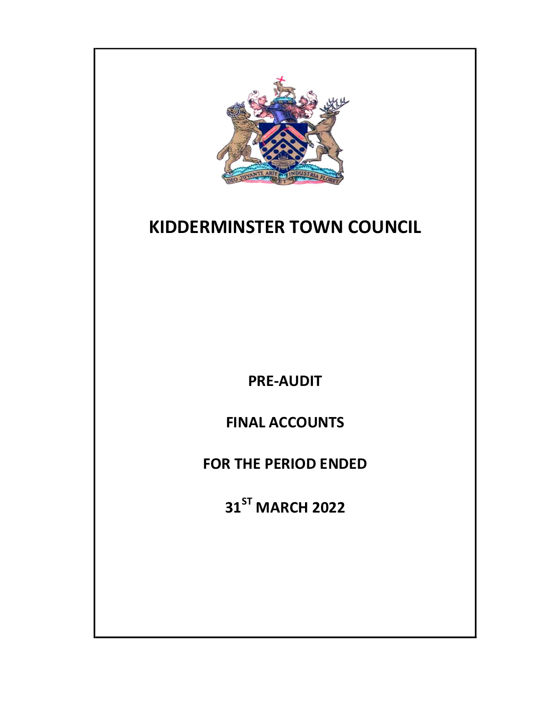

PRE-AUDIT

FINAL ACCOUNTS

FOR THE PERIOD ENDED

31<sup>ST</sup> MARCH 2022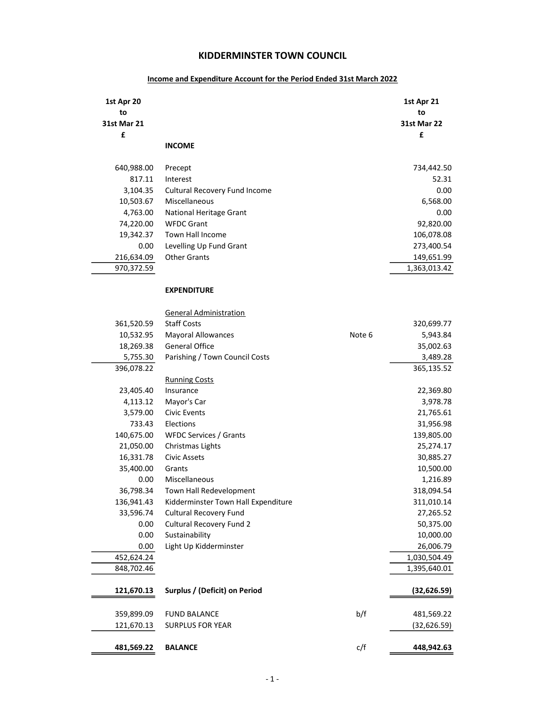| 1st Apr 20<br>to<br><b>31st Mar 21</b> |                                                                  |        | 1st Apr 21<br>to<br><b>31st Mar 22</b> |
|----------------------------------------|------------------------------------------------------------------|--------|----------------------------------------|
| £                                      | <b>INCOME</b>                                                    |        | £                                      |
| 640,988.00                             | Precept                                                          |        | 734,442.50                             |
| 817.11                                 | Interest                                                         |        | 52.31                                  |
| 3,104.35                               | <b>Cultural Recovery Fund Income</b>                             |        | 0.00                                   |
| 10,503.67                              | Miscellaneous                                                    |        | 6,568.00                               |
| 4,763.00                               | National Heritage Grant                                          |        | 0.00                                   |
| 74,220.00                              | <b>WFDC Grant</b>                                                |        | 92,820.00                              |
| 19,342.37                              | Town Hall Income                                                 |        | 106,078.08                             |
| 0.00                                   | Levelling Up Fund Grant                                          |        | 273,400.54                             |
| 216,634.09                             | <b>Other Grants</b>                                              |        | 149,651.99                             |
| 970,372.59                             |                                                                  |        | 1,363,013.42                           |
|                                        | <b>EXPENDITURE</b>                                               |        |                                        |
|                                        | <b>General Administration</b>                                    |        |                                        |
| 361,520.59                             | <b>Staff Costs</b>                                               |        | 320,699.77                             |
| 10,532.95                              | <b>Mayoral Allowances</b>                                        | Note 6 | 5,943.84                               |
| 18,269.38                              | <b>General Office</b>                                            |        | 35,002.63                              |
| 5,755.30                               | Parishing / Town Council Costs                                   |        | 3,489.28                               |
| 396,078.22                             |                                                                  |        | 365,135.52                             |
|                                        | <b>Running Costs</b>                                             |        |                                        |
| 23,405.40                              | Insurance                                                        |        | 22,369.80                              |
| 4,113.12                               | Mayor's Car                                                      |        | 3,978.78                               |
| 3,579.00                               | Civic Events                                                     |        | 21,765.61                              |
| 733.43                                 | Elections                                                        |        | 31,956.98                              |
| 140,675.00                             | WFDC Services / Grants                                           |        | 139,805.00                             |
| 21,050.00                              | Christmas Lights                                                 |        | 25,274.17                              |
| 16,331.78                              | <b>Civic Assets</b>                                              |        | 30,885.27                              |
| 35,400.00                              | Grants                                                           |        | 10,500.00                              |
| 0.00                                   | Miscellaneous                                                    |        | 1,216.89                               |
| 36,798.34                              | Town Hall Redevelopment                                          |        | 318,094.54                             |
| 136,941.43                             | Kidderminster Town Hall Expenditure                              |        | 311,010.14                             |
| 33,596.74<br>0.00                      | <b>Cultural Recovery Fund</b><br><b>Cultural Recovery Fund 2</b> |        | 27,265.52                              |
| 0.00                                   | Sustainability                                                   |        | 50,375.00<br>10,000.00                 |
| 0.00                                   | Light Up Kidderminster                                           |        | 26,006.79                              |
| 452,624.24                             |                                                                  |        | 1,030,504.49                           |
| 848,702.46                             |                                                                  |        | 1,395,640.01                           |
|                                        |                                                                  |        |                                        |
| 121,670.13                             | Surplus / (Deficit) on Period                                    |        | (32,626.59)                            |
| 359,899.09                             | <b>FUND BALANCE</b>                                              | b/f    | 481,569.22                             |
| 121,670.13                             | <b>SURPLUS FOR YEAR</b>                                          |        | (32, 626.59)                           |
| 481,569.22                             | <b>BALANCE</b>                                                   | c/f    | 448,942.63                             |

## Income and Expenditure Account for the Period Ended 31st March 2022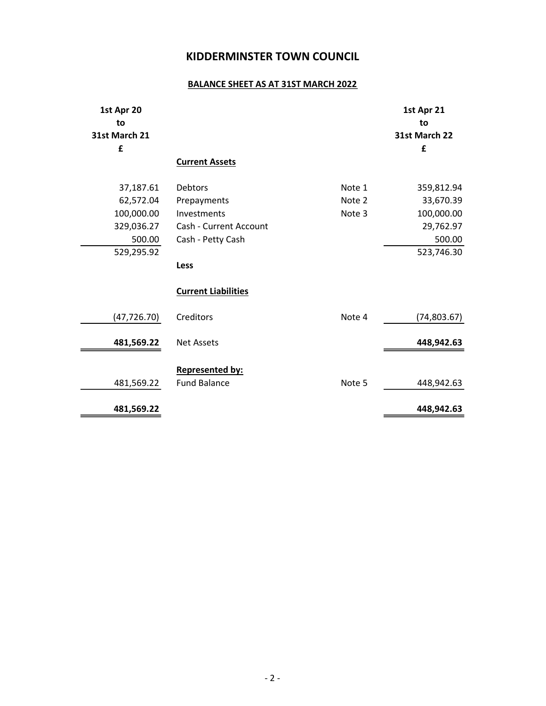# BALANCE SHEET AS AT 31ST MARCH 2022

| 1st Apr 20<br>to<br>31st March 21<br>£                                     | <b>Current Assets</b>                                                                       |                            | 1st Apr 21<br>to<br>31st March 22<br>£                                     |
|----------------------------------------------------------------------------|---------------------------------------------------------------------------------------------|----------------------------|----------------------------------------------------------------------------|
| 37,187.61<br>62,572.04<br>100,000.00<br>329,036.27<br>500.00<br>529,295.92 | <b>Debtors</b><br>Prepayments<br>Investments<br>Cash - Current Account<br>Cash - Petty Cash | Note 1<br>Note 2<br>Note 3 | 359,812.94<br>33,670.39<br>100,000.00<br>29,762.97<br>500.00<br>523,746.30 |
|                                                                            | Less<br><b>Current Liabilities</b>                                                          |                            |                                                                            |
| (47, 726.70)<br>481,569.22                                                 | Creditors<br><b>Net Assets</b>                                                              | Note 4                     | (74,803.67)<br>448,942.63                                                  |
| 481,569.22<br>481,569.22                                                   | <b>Represented by:</b><br><b>Fund Balance</b>                                               | Note 5                     | 448,942.63<br>448,942.63                                                   |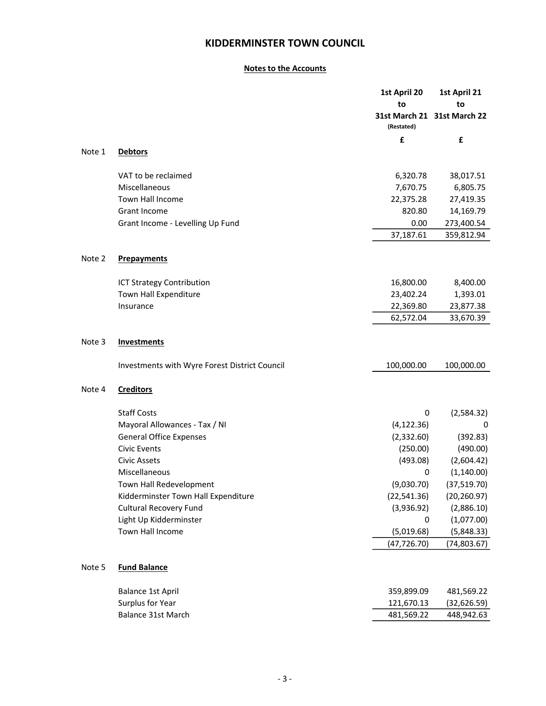## Notes to the Accounts

|        |                                               | 1st April 20 | 1st April 21                |
|--------|-----------------------------------------------|--------------|-----------------------------|
|        |                                               | to           | to                          |
|        |                                               | (Restated)   | 31st March 21 31st March 22 |
|        |                                               | £            | £                           |
| Note 1 | <b>Debtors</b>                                |              |                             |
|        | VAT to be reclaimed                           | 6,320.78     | 38,017.51                   |
|        | Miscellaneous                                 | 7,670.75     | 6,805.75                    |
|        | Town Hall Income                              | 22,375.28    | 27,419.35                   |
|        | Grant Income                                  | 820.80       | 14,169.79                   |
|        | Grant Income - Levelling Up Fund              | 0.00         | 273,400.54                  |
|        |                                               | 37,187.61    | 359,812.94                  |
| Note 2 | <b>Prepayments</b>                            |              |                             |
|        | ICT Strategy Contribution                     | 16,800.00    | 8,400.00                    |
|        | Town Hall Expenditure                         | 23,402.24    | 1,393.01                    |
|        | Insurance                                     | 22,369.80    | 23,877.38                   |
|        |                                               | 62,572.04    | 33,670.39                   |
| Note 3 | <b>Investments</b>                            |              |                             |
|        | Investments with Wyre Forest District Council | 100,000.00   | 100,000.00                  |
| Note 4 | <b>Creditors</b>                              |              |                             |
|        | <b>Staff Costs</b>                            | 0            | (2,584.32)                  |
|        | Mayoral Allowances - Tax / NI                 | (4, 122.36)  | 0                           |
|        | <b>General Office Expenses</b>                | (2,332.60)   | (392.83)                    |
|        | <b>Civic Events</b>                           | (250.00)     | (490.00)                    |
|        | <b>Civic Assets</b>                           | (493.08)     | (2,604.42)                  |
|        | Miscellaneous                                 | 0            | (1, 140.00)                 |
|        | Town Hall Redevelopment                       | (9,030.70)   | (37, 519.70)                |
|        | Kidderminster Town Hall Expenditure           | (22,541.36)  | (20, 260.97)                |
|        | <b>Cultural Recovery Fund</b>                 | (3,936.92)   | (2,886.10)                  |
|        | Light Up Kidderminster                        | 0            | (1,077.00)                  |
|        | Town Hall Income                              | (5,019.68)   | (5,848.33)                  |
|        |                                               | (47, 726.70) | (74,803.67)                 |
| Note 5 | <b>Fund Balance</b>                           |              |                             |
|        | <b>Balance 1st April</b>                      | 359,899.09   | 481,569.22                  |
|        | Surplus for Year                              | 121,670.13   | (32,626.59)                 |
|        | Balance 31st March                            | 481,569.22   | 448,942.63                  |
|        |                                               |              |                             |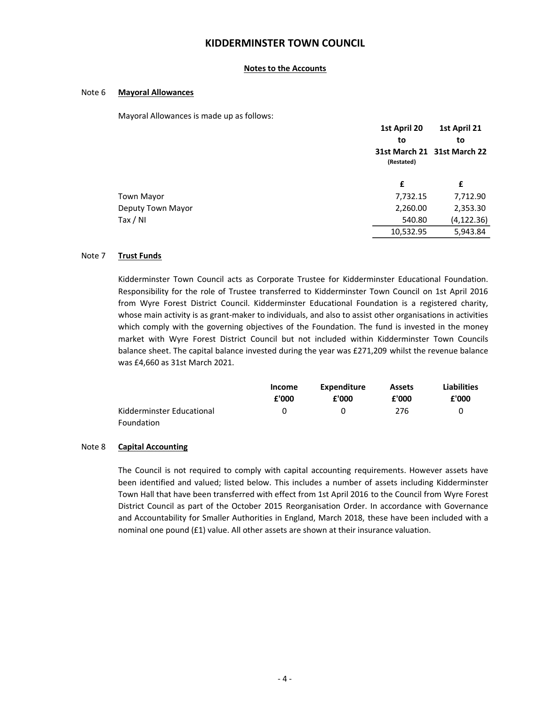#### Notes to the Accounts

#### Note 6 Mayoral Allowances

Mayoral Allowances is made up as follows:

|                   | 1st April 20 | 1st April 21                |  |
|-------------------|--------------|-----------------------------|--|
|                   | to           | to                          |  |
|                   | (Restated)   | 31st March 21 31st March 22 |  |
|                   | £            | £                           |  |
| <b>Town Mayor</b> | 7,732.15     | 7,712.90                    |  |
| Deputy Town Mayor | 2,260.00     | 2,353.30                    |  |
| Tax / NI          | 540.80       | (4, 122.36)                 |  |
|                   | 10,532.95    | 5,943.84                    |  |

#### Note 7 Trust Funds

Kidderminster Town Council acts as Corporate Trustee for Kidderminster Educational Foundation. Responsibility for the role of Trustee transferred to Kidderminster Town Council on 1st April 2016 from Wyre Forest District Council. Kidderminster Educational Foundation is a registered charity, whose main activity is as grant-maker to individuals, and also to assist other organisations in activities which comply with the governing objectives of the Foundation. The fund is invested in the money market with Wyre Forest District Council but not included within Kidderminster Town Councils balance sheet. The capital balance invested during the year was £271,209 whilst the revenue balance was £4,660 as 31st March 2021.

|                           | Income | Expenditure | <b>Assets</b> | <b>Liabilities</b> |
|---------------------------|--------|-------------|---------------|--------------------|
|                           | £'000  | £'000       | £'000         | £'000              |
| Kidderminster Educational | U      | $^{(1)}$    | 276           |                    |
| Foundation                |        |             |               |                    |

#### Note 8 Capital Accounting

The Council is not required to comply with capital accounting requirements. However assets have been identified and valued; listed below. This includes a number of assets including Kidderminster Town Hall that have been transferred with effect from 1st April 2016 to the Council from Wyre Forest District Council as part of the October 2015 Reorganisation Order. In accordance with Governance and Accountability for Smaller Authorities in England, March 2018, these have been included with a nominal one pound (£1) value. All other assets are shown at their insurance valuation.